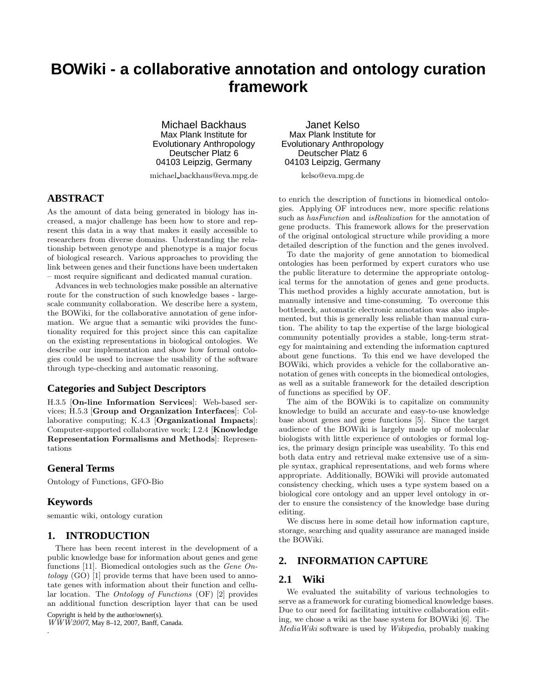# **BOWiki - a collaborative annotation and ontology curation framework**

Michael Backhaus Max Plank Institute for Evolutionary Anthropology Deutscher Platz 6 04103 Leipzig, Germany

michael backhaus@eva.mpg.de

# **ABSTRACT**

As the amount of data being generated in biology has increased, a major challenge has been how to store and represent this data in a way that makes it easily accessible to researchers from diverse domains. Understanding the relationship between genotype and phenotype is a major focus of biological research. Various approaches to providing the link between genes and their functions have been undertaken – most require significant and dedicated manual curation.

Advances in web technologies make possible an alternative route for the construction of such knowledge bases - largescale community collaboration. We describe here a system, the BOWiki, for the collaborative annotation of gene information. We argue that a semantic wiki provides the functionality required for this project since this can capitalize on the existing representations in biological ontologies. We describe our implementation and show how formal ontologies could be used to increase the usability of the software through type-checking and automatic reasoning.

#### **Categories and Subject Descriptors**

H.3.5 [On-line Information Services]: Web-based services; H.5.3 [Group and Organization Interfaces]: Collaborative computing; K.4.3 [Organizational Impacts]: Computer-supported collaborative work; I.2.4 [Knowledge Representation Formalisms and Methods]: Representations

#### **General Terms**

Ontology of Functions, GFO-Bio

#### **Keywords**

.

semantic wiki, ontology curation

#### **1. INTRODUCTION**

There has been recent interest in the development of a public knowledge base for information about genes and gene functions [11]. Biomedical ontologies such as the Gene Ontology (GO) [1] provide terms that have been used to annotate genes with information about their function and cellular location. The Ontology of Functions (OF) [2] provides an additional function description layer that can be used

Copyright is held by the author/owner(s).  $WWW2007$ , May 8-12, 2007, Banff, Canada.

Janet Kelso Max Plank Institute for Evolutionary Anthropology Deutscher Platz 6 04103 Leipzig, Germany

kelso@eva.mpg.de

to enrich the description of functions in biomedical ontologies. Applying OF introduces new, more specific relations such as hasFunction and isRealization for the annotation of gene products. This framework allows for the preservation of the original ontological structure while providing a more detailed description of the function and the genes involved.

To date the majority of gene annotation to biomedical ontologies has been performed by expert curators who use the public literature to determine the appropriate ontological terms for the annotation of genes and gene products. This method provides a highly accurate annotation, but is manually intensive and time-consuming. To overcome this bottleneck, automatic electronic annotation was also implemented, but this is generally less reliable than manual curation. The ability to tap the expertise of the large biological community potentially provides a stable, long-term strategy for maintaining and extending the information captured about gene functions. To this end we have developed the BOWiki, which provides a vehicle for the collaborative annotation of genes with concepts in the biomedical ontologies, as well as a suitable framework for the detailed description of functions as specified by OF.

The aim of the BOWiki is to capitalize on community knowledge to build an accurate and easy-to-use knowledge base about genes and gene functions [5]. Since the target audience of the BOWiki is largely made up of molecular biologists with little experience of ontologies or formal logics, the primary design principle was useability. To this end both data entry and retrieval make extensive use of a simple syntax, graphical representations, and web forms where appropriate. Additionally, BOWiki will provide automated consistency checking, which uses a type system based on a biological core ontology and an upper level ontology in order to ensure the consistency of the knowledge base during editing.

We discuss here in some detail how information capture, storage, searching and quality assurance are managed inside the BOWiki.

# **2. INFORMATION CAPTURE**

#### **2.1 Wiki**

We evaluated the suitability of various technologies to serve as a framework for curating biomedical knowledge bases. Due to our need for facilitating intuitive collaboration editing, we chose a wiki as the base system for BOWiki [6]. The MediaWiki software is used by Wikipedia, probably making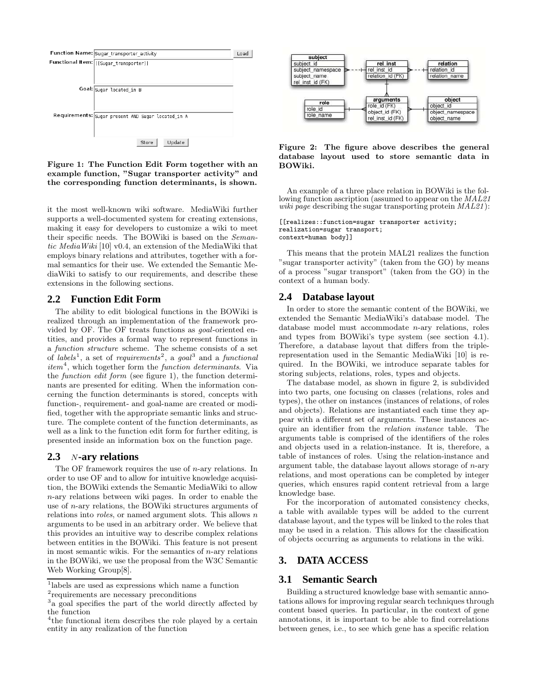

Figure 1: The Function Edit Form together with an example function, "Sugar transporter activity" and the corresponding function determinants, is shown.

it the most well-known wiki software. MediaWiki further supports a well-documented system for creating extensions, making it easy for developers to customize a wiki to meet their specific needs. The BOWiki is based on the Semantic MediaWiki [10] v0.4, an extension of the MediaWiki that employs binary relations and attributes, together with a formal semantics for their use. We extended the Semantic MediaWiki to satisfy to our requirements, and describe these extensions in the following sections.

#### **2.2 Function Edit Form**

The ability to edit biological functions in the BOWiki is realized through an implementation of the framework provided by OF. The OF treats functions as goal-oriented entities, and provides a formal way to represent functions in a function structure scheme. The scheme consists of a set of labels<sup>1</sup>, a set of requirements<sup>2</sup>, a goal<sup>3</sup> and a functional item<sup>4</sup>, which together form the function determinants. Via the function edit form (see figure 1), the function determinants are presented for editing. When the information concerning the function determinants is stored, concepts with function-, requirement- and goal-name are created or modified, together with the appropriate semantic links and structure. The complete content of the function determinants, as well as a link to the function edit form for further editing, is presented inside an information box on the function page.

#### **2.3** N**-ary relations**

The OF framework requires the use of  $n$ -ary relations. In order to use OF and to allow for intuitive knowledge acquisition, the BOWiki extends the Semantic MediaWiki to allow n-ary relations between wiki pages. In order to enable the use of n-ary relations, the BOWiki structures arguments of relations into *roles*, or named argument slots. This allows  $n$ arguments to be used in an arbitrary order. We believe that this provides an intuitive way to describe complex relations between entities in the BOWiki. This feature is not present in most semantic wikis. For the semantics of  $n$ -ary relations in the BOWiki, we use the proposal from the W3C Semantic Web Working Group[8].



#### Figure 2: The figure above describes the general database layout used to store semantic data in BOWiki.

An example of a three place relation in BOWiki is the following function ascription (assumed to appear on the MAL21 wiki page describing the sugar transporting protein  $MAL21$ :

```
[[realizes::function=sugar transporter activity;
realization=sugar transport;
context=human body]]
```
This means that the protein MAL21 realizes the function "sugar transporter activity" (taken from the GO) by means of a process "sugar transport" (taken from the GO) in the context of a human body.

#### **2.4 Database layout**

In order to store the semantic content of the BOWiki, we extended the Semantic MediaWiki's database model. The database model must accommodate n-ary relations, roles and types from BOWiki's type system (see section 4.1). Therefore, a database layout that differs from the triplerepresentation used in the Semantic MediaWiki [10] is required. In the BOWiki, we introduce separate tables for storing subjects, relations, roles, types and objects.

The database model, as shown in figure 2, is subdivided into two parts, one focusing on classes (relations, roles and types), the other on instances (instances of relations, of roles and objects). Relations are instantiated each time they appear with a different set of arguments. These instances acquire an identifier from the relation instance table. The arguments table is comprised of the identifiers of the roles and objects used in a relation-instance. It is, therefore, a table of instances of roles. Using the relation-instance and argument table, the database layout allows storage of  $n$ -ary relations, and most operations can be completed by integer queries, which ensures rapid content retrieval from a large knowledge base.

For the incorporation of automated consistency checks, a table with available types will be added to the current database layout, and the types will be linked to the roles that may be used in a relation. This allows for the classification of objects occurring as arguments to relations in the wiki.

# **3. DATA ACCESS**

#### **3.1 Semantic Search**

Building a structured knowledge base with semantic annotations allows for improving regular search techniques through content based queries. In particular, in the context of gene annotations, it is important to be able to find correlations between genes, i.e., to see which gene has a specific relation

<sup>1</sup> labels are used as expressions which name a function

<sup>2</sup> requirements are necessary preconditions

<sup>&</sup>lt;sup>3</sup> a goal specifies the part of the world directly affected by the function

<sup>4</sup> the functional item describes the role played by a certain entity in any realization of the function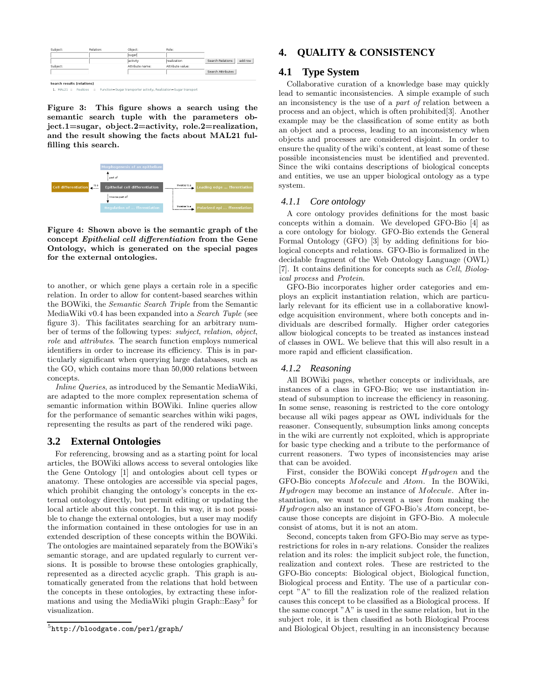| Subject:                                                                                 | Relation: | Object:         | Role:            |                             |
|------------------------------------------------------------------------------------------|-----------|-----------------|------------------|-----------------------------|
|                                                                                          |           | sugar           |                  |                             |
|                                                                                          |           | activity        | realization      | Search Relations<br>add row |
| Subject:                                                                                 |           | Attribute name: | Attribute value: |                             |
|                                                                                          |           |                 |                  | Search Attributes           |
|                                                                                          |           |                 |                  |                             |
| <b>Search results (relations)</b>                                                        |           |                 |                  |                             |
| 1. MAL21 :: Realizes :: Function=Sugar transporter activity, Realization=Sugar transport |           |                 |                  |                             |

Figure 3: This figure shows a search using the semantic search tuple with the parameters object.1=sugar, object.2=activity, role.2=realization, and the result showing the facts about MAL21 fulfilling this search.



Figure 4: Shown above is the semantic graph of the concept Epithelial cell differentiation from the Gene Ontology, which is generated on the special pages for the external ontologies.

to another, or which gene plays a certain role in a specific relation. In order to allow for content-based searches within the BOWiki, the Semantic Search Triple from the Semantic MediaWiki v0.4 has been expanded into a Search Tuple (see figure 3). This facilitates searching for an arbitrary number of terms of the following types: subject, relation, object, role and attributes. The search function employs numerical identifiers in order to increase its efficiency. This is in particularly significant when querying large databases, such as the GO, which contains more than 50,000 relations between concepts.

Inline Queries, as introduced by the Semantic MediaWiki, are adapted to the more complex representation schema of semantic information within BOWiki. Inline queries allow for the performance of semantic searches within wiki pages, representing the results as part of the rendered wiki page.

## **3.2 External Ontologies**

For referencing, browsing and as a starting point for local articles, the BOWiki allows access to several ontologies like the Gene Ontology [1] and ontologies about cell types or anatomy. These ontologies are accessible via special pages, which prohibit changing the ontology's concepts in the external ontology directly, but permit editing or updating the local article about this concept. In this way, it is not possible to change the external ontologies, but a user may modify the information contained in these ontologies for use in an extended description of these concepts within the BOWiki. The ontologies are maintained separately from the BOWiki's semantic storage, and are updated regularly to current versions. It is possible to browse these ontologies graphically, represented as a directed acyclic graph. This graph is automatically generated from the relations that hold between the concepts in these ontologies, by extracting these informations and using the MediaWiki plugin Graph::Easy<sup>5</sup> for visualization.

## **4. QUALITY & CONSISTENCY**

## **4.1 Type System**

Collaborative curation of a knowledge base may quickly lead to semantic inconsistencies. A simple example of such an inconsistency is the use of a part of relation between a process and an object, which is often prohibited[3]. Another example may be the classification of some entity as both an object and a process, leading to an inconsistency when objects and processes are considered disjoint. In order to ensure the quality of the wiki's content, at least some of these possible inconsistencies must be identified and prevented. Since the wiki contains descriptions of biological concepts and entities, we use an upper biological ontology as a type system.

#### *4.1.1 Core ontology*

A core ontology provides definitions for the most basic concepts within a domain. We developed GFO-Bio [4] as a core ontology for biology. GFO-Bio extends the General Formal Ontology (GFO) [3] by adding definitions for biological concepts and relations. GFO-Bio is formalized in the decidable fragment of the Web Ontology Language (OWL) [7]. It contains definitions for concepts such as Cell, Biological process and Protein.

GFO-Bio incorporates higher order categories and employs an explicit instantiation relation, which are particularly relevant for its efficient use in a collaborative knowledge acquisition environment, where both concepts and individuals are described formally. Higher order categories allow biological concepts to be treated as instances instead of classes in OWL. We believe that this will also result in a more rapid and efficient classification.

#### *4.1.2 Reasoning*

All BOWiki pages, whether concepts or individuals, are instances of a class in GFO-Bio; we use instantiation instead of subsumption to increase the efficiency in reasoning. In some sense, reasoning is restricted to the core ontology because all wiki pages appear as OWL individuals for the reasoner. Consequently, subsumption links among concepts in the wiki are currently not exploited, which is appropriate for basic type checking and a tribute to the performance of current reasoners. Two types of inconsistencies may arise that can be avoided.

First, consider the BOWiki concept Hydrogen and the GFO-Bio concepts Molecule and Atom. In the BOWiki, Hydrogen may become an instance of Molecule. After instantiation, we want to prevent a user from making the Hydrogen also an instance of GFO-Bio's Atom concept, because those concepts are disjoint in GFO-Bio. A molecule consist of atoms, but it is not an atom.

Second, concepts taken from GFO-Bio may serve as typerestrictions for roles in n-ary relations. Consider the realizes relation and its roles: the implicit subject role, the function, realization and context roles. These are restricted to the GFO-Bio concepts: Biological object, Biological function, Biological process and Entity. The use of a particular concept "A" to fill the realization role of the realized relation causes this concept to be classified as a Biological process. If the same concept "A" is used in the same relation, but in the subject role, it is then classified as both Biological Process and Biological Object, resulting in an inconsistency because

<sup>5</sup> http://bloodgate.com/perl/graph/